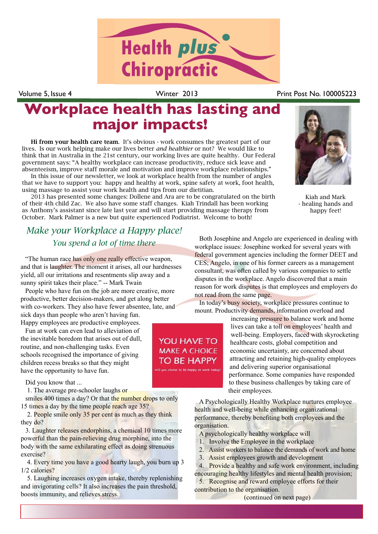

Volume 5, Issue 4 **Volume 5, Issue 4** Winter 2013

## **Workplace health has lasting and major impacts!**

Hi from your health care team. It's obvious - work consumes the greatest part of our lives. Is our work helping make our lives better *and healthier* or not? We would like to think that in Australia in the 21st century, our working lives are quite healthy. Our Federal government says: "A healthy workplace can increase productivity, reduce sick leave and absenteeism, improve staff morale and motivation and improve workplace relationships."

In this issue of our newsletter, we look at workplace health from the number of angles that we have to support you: happy and healthy at work, spine safety at work, foot health, using massage to assist your work health and tips from our dietitian.

2013 has presented some changes: Dollene and Ara are to be congratulated on the birth of their 4th child Zac. We also have some staff changes. Kiah Trindall has been working as Anthony's assistant since late last year and will start providing massage therapy from October. Mark Palmer is a new but quite experienced Podiatrist. Welcome to both!

### *Make your Workplace a Happy place! You spend a lot of time there*

"The human race has only one really effective weapon, and that is laughter. The moment it arises, all our hardnesses yield, all our irritations and resentments slip away and a sunny spirit takes their place." -- Mark Twain

People who have fun on the job are more creative, more productive, better decision-makers, and get along better with co-workers. They also have fewer absentee, late, and sick days than people who aren't having fun.

Happy employees are productive employees.

Fun at work can even lead to alleviation of the inevitable boredom that arises out of dull, routine, and non-challenging tasks. Even schools recognised the importance of giving children recess breaks so that they might have the opportunity to have fun.

Did you know that ...

1. The average pre-schooler laughs or

smiles 400 times a day? Or that the number drops to only 15 times a day by the time people reach age 35?

 2. People smile only 35 per cent as much as they think they do?

3. Laughter releases endorphins, a chemical 10 times more powerful than the pain-relieving drug morphine, into the body with the same exhilarating effect as doing strenuous exercise?

 4. Every time you have a good hearty laugh, you burn up 3 1/2 calories?

 5. Laughing increases oxygen intake, thereby replenishing and invigorating cells? It also increases the pain threshold, boosts immunity, and relieves stress.



Kiah and Mark - healing hands and happy feet!

Both Josephine and Angelo are experienced in dealing with workplace issues: Josephine worked for several years with federal government agencies including the former DEET and CES; Angelo, in one of his former careers as a management consultant, was often called by various companies to settle disputes in the workplace. Angelo discovered that a main reason for work disputes is that employees and employers do not read from the same page.

In today's busy society, workplace pressures continue to mount. Productivity demands, information overload and

> increasing pressure to balance work and home lives can take a toll on employees' health and well-being. Employers, faced with skyrocketing healthcare costs, global competition and economic uncertainty, are concerned about attracting and retaining high-quality employees and delivering superior organisational performance. Some companies have responded to these business challenges by taking care of their employees.

A Psychologically Healthy Workplace nurtures employee health and well-being while enhancing organizational performance, thereby benefiting both employees and the organisation.

- A psychologically healthy workplace will
- 1. Involve the Employee in the workplace
- 2. Assist workers to balance the demands of work and home
- 3. Assist employees growth and development

4. Provide a healthy and safe work environment, including encouraging healthy lifestyles and mental health provision;

5. Recognise and reward employee efforts for their contribution to the organisation.

(continued on next page)

**YOU HAVE TO MAKE A CHOICE TO BE HAPPY**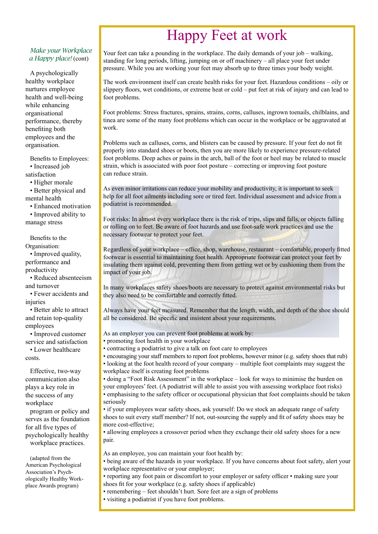## Happy Feet at work

#### *Make your Workplace a Happy place!* (cont)

A psychologically healthy workplace nurtures employee health and well-being while enhancing organisational performance, thereby benefiting both employees and the organisation.

Benefits to Employees: • Increased job satisfaction • Higher morale • Better physical and

mental health

• Enhanced motivation • Improved ability to manage stress

Benefits to the Organisation: • Improved quality, performance and productivity

• Reduced absenteeism and turnover

• Fewer accidents and injuries

• Better able to attract and retain top-quality employees

• Improved customer service and satisfaction

• Lower healthcare costs.

Effective, two-way communication also plays a key role in the success of any workplace

program or policy and serves as the foundation for all five types of psychologically healthy workplace practices.

(adapted from the American Psychological Association's Psychologically Healthy Workplace Awards program)

Your feet can take a pounding in the workplace. The daily demands of your job – walking, standing for long periods, lifting, jumping on or off machinery – all place your feet under pressure. While you are working your feet may absorb up to three times your body weight.

The work environment itself can create health risks for your feet. Hazardous conditions – oily or slippery floors, wet conditions, or extreme heat or cold – put feet at risk of injury and can lead to foot problems.

Foot problems: Stress fractures, sprains, strains, corns, calluses, ingrown toenails, chilblains, and tinea are some of the many foot problems which can occur in the workplace or be aggravated at work.

Problems such as calluses, corns, and blisters can be caused by pressure. If your feet do not fit properly into standard shoes or boots, then you are more likely to experience pressure-related foot problems. Deep aches or pains in the arch, ball of the foot or heel may be related to muscle strain, which is associated with poor foot posture – correcting or improving foot posture can reduce strain.

As even minor irritations can reduce your mobility and productivity, it is important to seek help for all foot ailments including sore or tired feet. Individual assessment and advice from a podiatrist is recommended.

Foot risks: In almost every workplace there is the risk of trips, slips and falls, or objects falling or rolling on to feet. Be aware of foot hazards and use foot-safe work practices and use the necessary footwear to protect your feet.

Regardless of your workplace – office, shop, warehouse, restaurant – comfortable, properly fitted footwear is essential to maintaining foot health. Appropriate footwear can protect your feet by insulating them against cold, preventing them from getting wet or by cushioning them from the impact of your job.

In many workplaces safety shoes/boots are necessary to protect against environmental risks but they also need to be comfortable and correctly fitted.

Always have your feet measured. Remember that the length, width, and depth of the shoe should all be considered. Be specific and insistent about your requirements.

As an employer you can prevent foot problems at work by:

- promoting foot health in your workplace
- contracting a podiatrist to give a talk on foot care to employees
- encouraging your staff members to report foot problems, however minor (e.g. safety shoes that rub)

• looking at the foot health record of your company – multiple foot complaints may suggest the workplace itself is creating foot problems

• doing a "Foot Risk Assessment" in the workplace – look for ways to minimise the burden on your employees' feet. (A podiatrist will able to assist you with assessing workplace foot risks) • emphasising to the safety officer or occupational physician that foot complaints should be taken seriously

• if your employees wear safety shoes, ask yourself: Do we stock an adequate range of safety shoes to suit every staff member? If not, out-sourcing the supply and fit of safety shoes may be more cost-effective;

• allowing employees a crossover period when they exchange their old safety shoes for a new pair.

As an employee, you can maintain your foot health by:

• being aware of the hazards in your workplace. If you have concerns about foot safety, alert your workplace representative or your employer;

• reporting any foot pain or discomfort to your employer or safety officer • making sure your shoes fit for your workplace (e.g. safety shoes if applicable)

• remembering – feet shouldn't hurt. Sore feet are a sign of problems

• visiting a podiatrist if you have foot problems.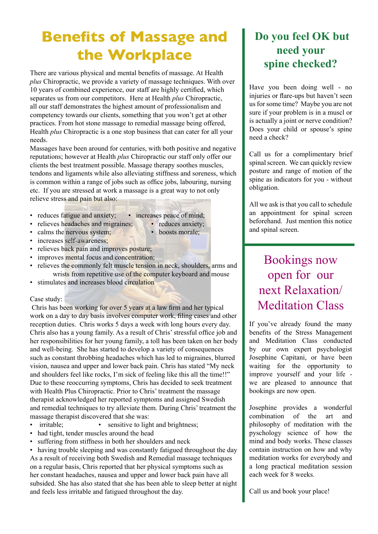# **Benefits of Massage and the Workplace**

There are various physical and mental benefits of massage. At Health *plus* Chiropractic, we provide a variety of massage techniques. With over 10 years of combined experience, our staff are highly certified, which separates us from our competitors. Here at Health *plus* Chiropractic, all our staff demonstrates the highest amount of professionalism and competency towards our clients, something that you won't get at other practices. From hot stone massage to remedial massage being offered, Health *plus* Chiropractic is a one stop business that can cater for all your needs.

Massages have been around for centuries, with both positive and negative reputations; however at Health *plus* Chiropractic our staff only offer our clients the best treatment possible. Massage therapy soothes muscles, tendons and ligaments while also alleviating stiffness and soreness, which is common within a range of jobs such as office jobs, labouring, nursing etc. If you are stressed at work a massage is a great way to not only relieve stress and pain but also:

- reduces fatigue and anxiety; increases peace of mind;
	-
- relieves headaches and migraines; reduces anxiety;
	-
	-
	-
- relieves back pain and improves posture;
- improves mental focus and concentration;
- relieves the commonly felt muscle tension in neck, shoulders, arms and wrists from repetitive use of the computer keyboard and mouse
- stimulates and increases blood circulation

#### Case study:

 Chris has been working for over 5 years at a law firm and her typical work on a day to day basis involves computer work, filing cases and other reception duties. Chris works 5 days a week with long hours every day. Chris also has a young family. As a result of Chris' stressful office job and her responsibilities for her young family, a toll has been taken on her body and well-being. She has started to develop a variety of consequences such as constant throbbing headaches which has led to migraines, blurred vision, nausea and upper and lower back pain. Chris has stated "My neck and shoulders feel like rocks, I'm sick of feeling like this all the time!!" Due to these reoccurring symptoms, Chris has decided to seek treatment with Health Plus Chiropractic. Prior to Chris' treatment the massage therapist acknowledged her reported symptoms and assigned Swedish and remedial techniques to try alleviate them. During Chris' treatment the massage therapist discovered that she was:

- irritable; sensitive to light and brightness;
- had tight, tender muscles around the head
- suffering from stiffness in both her shoulders and neck

• having trouble sleeping and was constantly fatigued throughout the day As a result of receiving both Swedish and Remedial massage techniques on a regular basis, Chris reported that her physical symptoms such as her constant headaches, nausea and upper and lower back pain have all subsided. She has also stated that she has been able to sleep better at night and feels less irritable and fatigued throughout the day.

## **Do you feel OK but need your spine checked?**

Have you been doing well - no injuries or flare-ups but haven't seen us for some time? Maybe you are not sure if your problem is in a muscl or is actually a joint or nerve condition? Does your child or spouse's spine need a check?

Call us for a complimentary brief spinal screen. We can quickly review posture and range of motion of the spine as indicators for you - without obligation.

All we ask is that you call to schedule an appointment for spinal screen beforehand. Just mention this notice and spinal screen.

Bookings now open for our next Relaxation/ Meditation Class

If you've already found the many benefits of the Stress Management and Meditation Class conducted by our own expert psychologist Josephine Capitani, or have been waiting for the opportunity to improve yourself and your life we are pleased to announce that bookings are now open.

Josephine provides a wonderful combination of the art and philosophy of meditation with the pyschology science of how the mind and body works. These classes contain instruction on how and why meditation works for everybody and a long practical meditation session each week for 8 weeks.

Call us and book your place!

- 
- calms the nervous system; boosts morale;
- increases self-awareness;